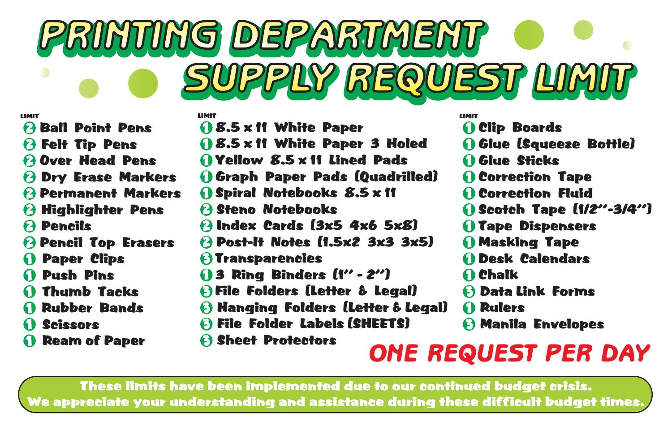# PRINTING DEPARTMENT SUPPLY REQUEST LIMIT

- C 3 Data Link Forms
- G 1 Rulers
- $\boldsymbol{\Theta}$  Manila Envelopes



- B 2 Ball Point Pens
- F 2 Felt Tip Pens
- O 2 Over Head Pens
- D 2 Dry Erase Markers
- P 2 Permanent Markers
- H 2 Highlighter Pens
- P 2 Pencils
- P 2 Pencil Top Erasers
- **D** Paper Clips
- P 1 Push Pins
- T 1 Thumb Tacks
- R 1 Rubber Bands
- S 1 Scissors
- **D** Ream of Paper

|   | <b>LIMIT</b>                              | LIMIT        |
|---|-------------------------------------------|--------------|
|   | <b>08.5 x 11 White Paper</b>              |              |
|   | <b>08.5 x 11 White Paper 3 Holed</b>      | <b>11 G</b>  |
|   | <b>O</b> Yellow 8.5 x 11 Lined Pads       | <b>10</b>    |
|   | <b>O Graph Paper Pads [Quadrilled]</b>    | $\Omega$     |
| S | <b>O Spiral Notebooks 8.5 x 11</b>        | $\Omega$     |
|   | <b>2 Steno Notebooks</b>                  | <b>ns</b>    |
|   | <b><i>A</i> Index Cards (3x5 4x6 5x8)</b> | $\mathbf{u}$ |
|   | 2 Post-It Notes (1.5x2 3x3 3x5)           | M            |
|   |                                           |              |

- **3** Transparencies
- 3 1 3 Ring Binders (1'' 2'')
- F 3 File Folders (Letter & Legal)
- $\partial$  Hanging Folders (Letter & Legal)
- F 3 File Folder Labels (SHEETS)
	- **a** Sheet Protectors

These limits have been implemented due to our continued budget crisis. We appreciate your understanding and assistance during these difficult budget times.



### **Desk Calendars D** Chalk **lip Boards** ilue (Squeeze Bottle) ilue Sticks **'orrection Tape Orrection Fluid** cotch Tape (1/2"-3/4") ape Dispensers lasking Tape

## ONE REQUEST PER DAY

#### LIMIT